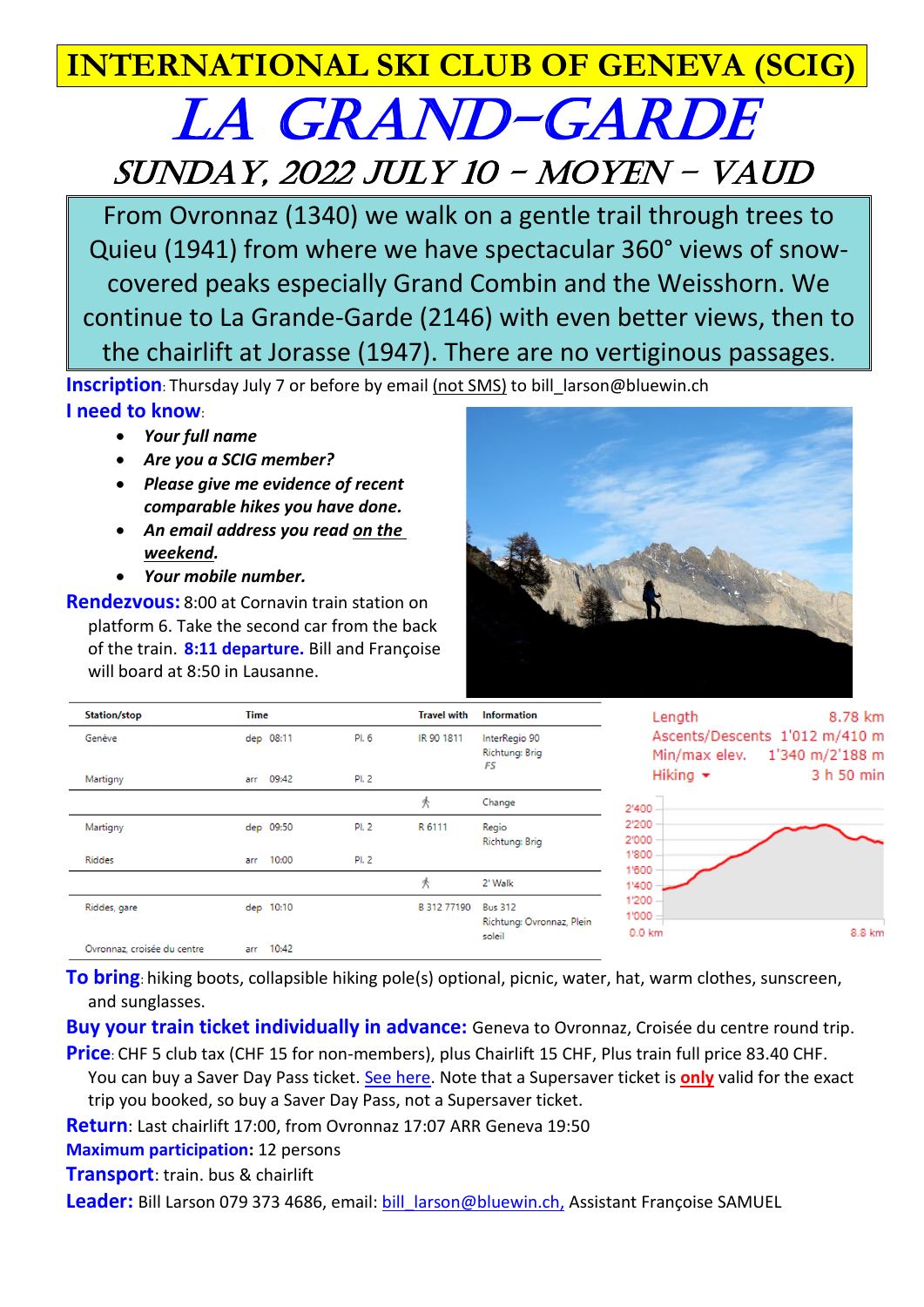## **INTERNATIONAL SKI CLUB OF GENEVA (SCIG)**

## LA GRAND-GARDE Sunday, 2022 July 10 - Moyen – Vaud

From Ovronnaz (1340) we walk on a gentle trail through trees to Quieu (1941) from where we have spectacular 360° views of snowcovered peaks especially Grand Combin and the Weisshorn. We continue to La Grande-Garde (2146) with even better views, then to the chairlift at Jorasse (1947). There are no vertiginous passages.

**Inscription**: Thursday July 7 or before by email (not SMS) to bill larson@bluewin.ch **I need to know**:

- *Your full name*
- *Are you a SCIG member?*
- *Please give me evidence of recent comparable hikes you have done.*
- *An email address you read on the weekend.*
- *Your mobile number.*

**Rendezvous:** 8:00 at Cornavin train station on platform 6. Take the second car from the back of the train. **8:11 departure.** Bill and Françoise will board at 8:50 in Lausanne.



| <b>Station/stop</b>         | <b>Time</b>  |       | <b>Travel with</b> | <b>Information</b>                                    | 8.78 km<br>Length                                                  |
|-----------------------------|--------------|-------|--------------------|-------------------------------------------------------|--------------------------------------------------------------------|
| Genève                      | dep 08:11    | PI. 6 | IR 90 1811         | InterRegio 90<br><b>Richtung: Brig</b><br>FS          | Ascents/Descents 1'012 m/410 m<br>1'340 m/2'188 m<br>Min/max elev. |
| Martigny                    | 09:42<br>arr | PI. 2 |                    |                                                       | Hiking $\star$<br>3 h 50 min                                       |
|                             |              |       | 氼                  | Change                                                | 2'400                                                              |
| Martigny                    | dep 09:50    | PI. 2 | R 6111             | Regio<br><b>Richtung: Brig</b>                        | 2'200<br>2'000                                                     |
| Riddes                      | 10:00<br>arr | PI. 2 |                    |                                                       | 1'800<br>1'600                                                     |
|                             |              |       | 秂                  | 2' Walk                                               | 1'400                                                              |
| Riddes, gare                | dep 10:10    |       | B 312 77190        | <b>Bus 312</b><br>Richtung: Ovronnaz, Plein<br>soleil | 1'200<br>1'000<br>8.8 km<br>$0.0 \text{ km}$                       |
| Ovronnaz, croisée du centre | 10:42<br>arr |       |                    |                                                       |                                                                    |

**To bring**: hiking boots, collapsible hiking pole(s) optional, picnic, water, hat, warm clothes, sunscreen, and sunglasses.

**Buy your train ticket individually in advance:** Geneva to Ovronnaz, Croisée du centre round trip.

**Price**: CHF 5 club tax (CHF 15 for non-members), plus Chairlift 15 CHF, Plus train full price 83.40 CHF. You can buy a Saver Day Pass ticket. [See here.](https://www.sbb.ch/en/travelcards-and-tickets/buying-options/saving.html) Note that a Supersaver ticket is **only** valid for the exact trip you booked, so buy a Saver Day Pass, not a Supersaver ticket.

**Return**: Last chairlift 17:00, from Ovronnaz 17:07 ARR Geneva 19:50

**Maximum participation:** 12 persons

**Transport**: train. bus & chairlift

Leader: Bill Larson 079 373 4686, email: bill larson@bluewin.ch, Assistant Françoise SAMUEL